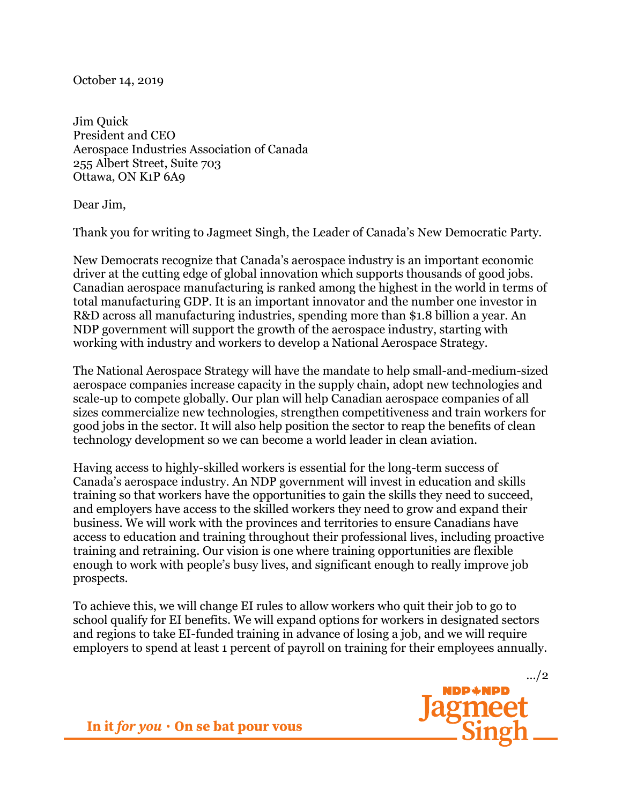October 14, 2019

Jim Quick President and CEO Aerospace Industries Association of Canada 255 Albert Street, Suite 703 Ottawa, ON K1P 6A9

Dear Jim,

Thank you for writing to Jagmeet Singh, the Leader of Canada's New Democratic Party.

New Democrats recognize that Canada's aerospace industry is an important economic driver at the cutting edge of global innovation which supports thousands of good jobs. Canadian aerospace manufacturing is ranked among the highest in the world in terms of total manufacturing GDP. It is an important innovator and the number one investor in R&D across all manufacturing industries, spending more than \$1.8 billion a year. An NDP government will support the growth of the aerospace industry, starting with working with industry and workers to develop a National Aerospace Strategy.

The National Aerospace Strategy will have the mandate to help small-and-medium-sized aerospace companies increase capacity in the supply chain, adopt new technologies and scale-up to compete globally. Our plan will help Canadian aerospace companies of all sizes commercialize new technologies, strengthen competitiveness and train workers for good jobs in the sector. It will also help position the sector to reap the benefits of clean technology development so we can become a world leader in clean aviation.

Having access to highly-skilled workers is essential for the long-term success of Canada's aerospace industry. An NDP government will invest in education and skills training so that workers have the opportunities to gain the skills they need to succeed, and employers have access to the skilled workers they need to grow and expand their business. We will work with the provinces and territories to ensure Canadians have access to education and training throughout their professional lives, including proactive training and retraining. Our vision is one where training opportunities are flexible enough to work with people's busy lives, and significant enough to really improve job prospects.

To achieve this, we will change EI rules to allow workers who quit their job to go to school qualify for EI benefits. We will expand options for workers in designated sectors and regions to take EI-funded training in advance of losing a job, and we will require employers to spend at least 1 percent of payroll on training for their employees annually.